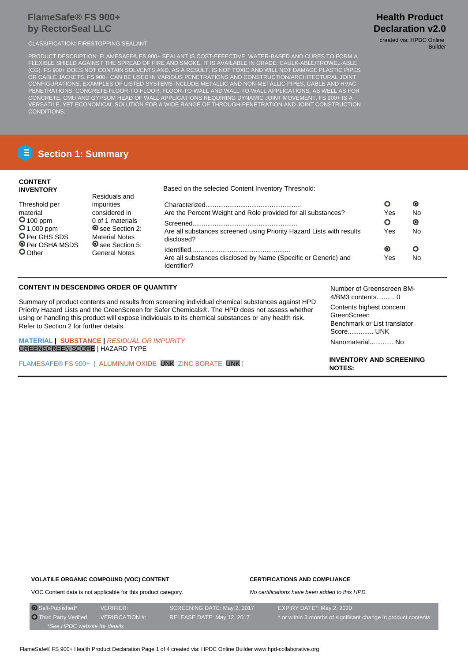## **FlameSafe® FS 900+ by RectorSeal LLC**

CLASSIFICATION: FIRESTOPPING SEALANT CLASSIFICATION: FIRESTOPPING SEALANT

PRODUCT DESCRIPTION: FLAMESAFE® FS 900+ SEALANT IS COST-EFFECTIVE, WATER-BASED AND CURES TO FORM A FLEXIBLE SHIELD AGAINST THE SPREAD OF FIRE AND SMOKE. IT IS AVAILABLE IN GRADE: CAULK-ABLE/TROWEL-ABLE (CG). FS 900+ DOES NOT CONTAIN SOLVENTS AND, AS A RESULT, IS NOT TOXIC AND WILL NOT DAMAGE PLASTIC PIPES OR CABLE JACKETS. FS 900+ CAN BE USED IN VARIOUS PENETRATIONS AND CONSTRUCTION/ARCHITECTURAL JOINT CONFIGURATIONS. EXAMPLES OF LISTED SYSTEMS INCLUDE METALLIC AND NON-METALLIC PIPES, CABLE AND HVAC PENETRATIONS, CONCRETE FLOOR-TO-FLOOR, FLOOR-TO-WALL AND WALL-TO-WALL APPLICATIONS, AS WELL AS FOR CONCRETE, CMU AND GYPSUM HEAD OF WALL APPLICATIONS REQUIRING DYNAMIC JOINT MOVEMENT. FS 900+ IS A VERSATILE, YET ECONOMICAL SOLUTION FOR A WIDE RANGE OF THROUGH-PENETRATION AND JOINT CONSTRUCTION CONDITIONS.

# **Health Product Declaration v2.0**

Builder

**E** Section 1: Summary

### **CONTENT INVENTORY**

Threshold per material **O** 100 ppm **O** 1,000 ppm O Per GHS SDS **O** Per OSHA MSDS O Other

Residuals and impurities considered in 0 of 1 materials O see Section 2: Material Notes O see Section 5: General Notes

Based on the selected Content Inventory Threshold:

|                                                                                    |                  | О               |
|------------------------------------------------------------------------------------|------------------|-----------------|
| Are the Percent Weight and Role provided for all substances?                       | Yes              | No              |
| Are all substances screened using Priority Hazard Lists with results<br>disclosed? | О<br>Yes         | $\bullet$<br>Nο |
| Are all substances disclosed by Name (Specific or Generic) and<br>Identifier?      | $\bullet$<br>Yes | No              |

## **CONTENT IN DESCENDING ORDER OF QUANTITY**

Summary of product contents and results from screening individual chemical substances against HPD Priority Hazard Lists and the GreenScreen for Safer Chemicals®. The HPD does not assess whether using or handling this product will expose individuals to its chemical substances or any health risk. Refer to Section 2 for further details.

**MATERIAL | SUBSTANCE |** RESIDUAL OR IMPURITY GREENSCREEN SCORE | HAZARD TYPE

FLAMESAFE® FS 900+ [ ALUMINUM OXIDE UNK ZINC BORATE UNK ]

Number of Greenscreen BM-4/BM3 contents.......... 0 Contents highest concern GreenScreen Benchmark or List translator Score.............. UNK Nanomaterial............. No

**INVENTORY AND SCREENING NOTES:**

### **VOLATILE ORGANIC COMPOUND (VOC) CONTENT**

### **CERTIFICATIONS AND COMPLIANCE**

No certifications have been added to this HPD.

VOC Content data is not applicable for this product category.

O Self-Published\* VERIFIER: SCREENING DATE: May 2, 2017 EXPIRY DATE\*: May 2, 2020 O Third Party Verified VERIFICATION #: RELEASE DATE: May 12, 2017 \* or within 3 months of significant change in product contents \*See HPDC website for details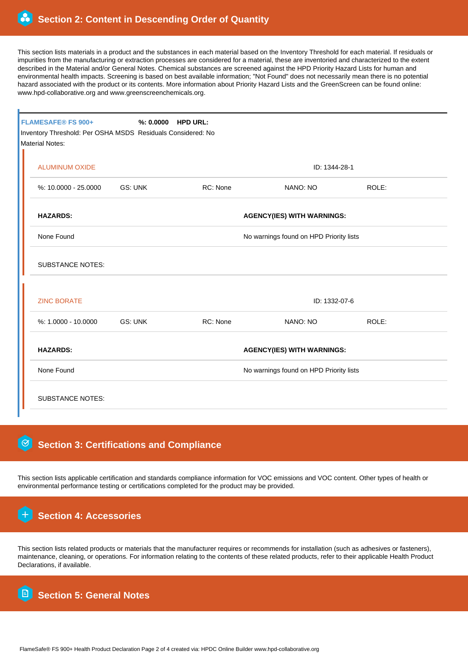This section lists materials in a product and the substances in each material based on the Inventory Threshold for each material. If residuals or impurities from the manufacturing or extraction processes are considered for a material, these are inventoried and characterized to the extent described in the Material and/or General Notes. Chemical substances are screened against the HPD Priority Hazard Lists for human and environmental health impacts. Screening is based on best available information; "Not Found" does not necessarily mean there is no potential hazard associated with the product or its contents. More information about Priority Hazard Lists and the GreenScreen can be found online: www.hpd-collaborative.org and www.greenscreenchemicals.org.

| <b>FLAMESAFE® FS 900+</b><br>Inventory Threshold: Per OSHA MSDS Residuals Considered: No<br><b>Material Notes:</b> | %: 0.0000 HPD URL:                                                           |               |               |       |  |  |  |
|--------------------------------------------------------------------------------------------------------------------|------------------------------------------------------------------------------|---------------|---------------|-------|--|--|--|
| <b>ALUMINUM OXIDE</b>                                                                                              |                                                                              | ID: 1344-28-1 |               |       |  |  |  |
| %: 10.0000 - 25.0000                                                                                               | GS: UNK                                                                      | RC: None      | NANO: NO      | ROLE: |  |  |  |
| <b>HAZARDS:</b><br><b>AGENCY(IES) WITH WARNINGS:</b>                                                               |                                                                              |               |               |       |  |  |  |
| None Found<br>No warnings found on HPD Priority lists                                                              |                                                                              |               |               |       |  |  |  |
| <b>SUBSTANCE NOTES:</b>                                                                                            |                                                                              |               |               |       |  |  |  |
| <b>ZINC BORATE</b>                                                                                                 |                                                                              |               | ID: 1332-07-6 |       |  |  |  |
| $%1.0000 - 10.0000$                                                                                                | GS: UNK                                                                      | RC: None      | NANO: NO      | ROLE: |  |  |  |
| <b>HAZARDS:</b>                                                                                                    | <b>AGENCY(IES) WITH WARNINGS:</b><br>No warnings found on HPD Priority lists |               |               |       |  |  |  |
| None Found                                                                                                         |                                                                              |               |               |       |  |  |  |
| <b>SUBSTANCE NOTES:</b>                                                                                            |                                                                              |               |               |       |  |  |  |

## **Section 3: Certifications and Compliance**

This section lists applicable certification and standards compliance information for VOC emissions and VOC content. Other types of health or environmental performance testing or certifications completed for the product may be provided.

 **Section 4: Accessories**

This section lists related products or materials that the manufacturer requires or recommends for installation (such as adhesives or fasteners), maintenance, cleaning, or operations. For information relating to the contents of these related products, refer to their applicable Health Product Declarations, if available.

 **Section 5: General Notes**